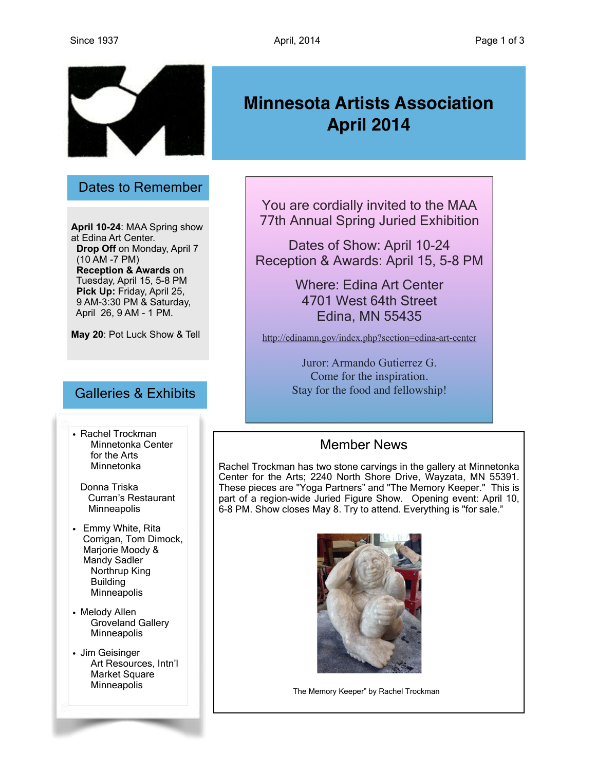

#### Dates to Remember

**April 10-24**: MAA Spring show at Edina Art Center. **Drop Off** on Monday, April 7 (10 AM -7 PM) **Reception & Awards** on Tuesday, April 15, 5-8 PM **Pick Up:** Friday, April 25, 9 AM-3:30 PM & Saturday, April 26, 9 AM - 1 PM.

**May 20**: Pot Luck Show & Tell

### Galleries & Exhibits

• Rachel Trockman Minnetonka Center for the Arts Minnetonka

Donna Triska Curran's Restaurant **Minneapolis** 

- Emmy White, Rita Corrigan, Tom Dimock, Marjorie Moody & Mandy Sadler Northrup King Building **Minneapolis**
- Melody Allen Groveland Gallery **Minneapolis**
- Jim Geisinger Art Resources, Intn'l Market Square **Minneapolis**

# **Minnesota Artists Association April 2014**

You are cordially invited to the MAA 77th Annual Spring Juried Exhibition

Dates of Show: April 10-24 Reception & Awards: April 15, 5-8 PM

> Where: Edina Art Center 4701 West 64th Street Edina, MN 55435

<http://edinamn.gov/index.php?section=edina-art-center>

Juror: Armando Gutierrez G. Come for the inspiration. Stay for the food and fellowship!

## Member News

Rachel Trockman has two stone carvings in the gallery at Minnetonka Center for the Arts; 2240 North Shore Drive, Wayzata, MN 55391. These pieces are "Yoga Partners" and "The Memory Keeper." This is part of a region-wide Juried Figure Show. Opening event: April 10, 6-8 PM. Show closes May 8. Try to attend. Everything is "for sale."



The Memory Keeper" by Rachel Trockman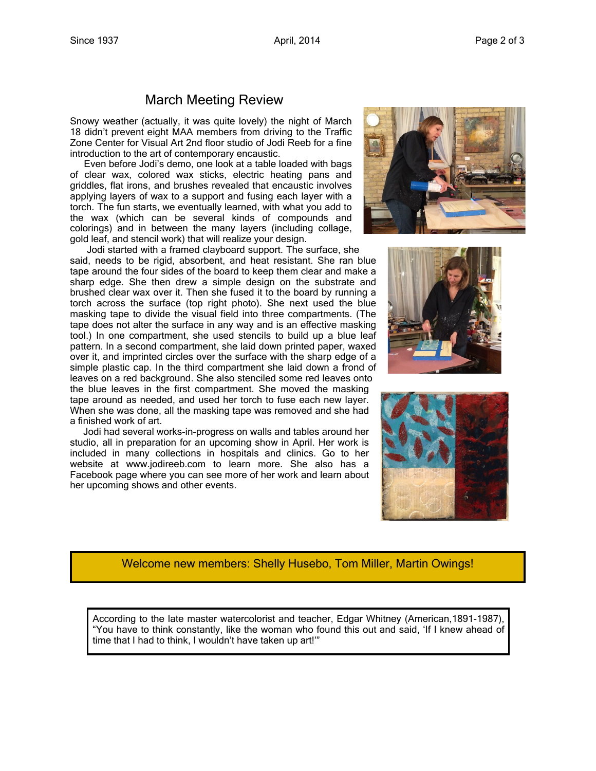### March Meeting Review

Snowy weather (actually, it was quite lovely) the night of March 18 didn't prevent eight MAA members from driving to the Traffic Zone Center for Visual Art 2nd floor studio of Jodi Reeb for a fine introduction to the art of contemporary encaustic.

 Even before Jodi's demo, one look at a table loaded with bags of clear wax, colored wax sticks, electric heating pans and griddles, flat irons, and brushes revealed that encaustic involves applying layers of wax to a support and fusing each layer with a torch. The fun starts, we eventually learned, with what you add to the wax (which can be several kinds of compounds and colorings) and in between the many layers (including collage, gold leaf, and stencil work) that will realize your design.

 Jodi started with a framed clayboard support. The surface, she said, needs to be rigid, absorbent, and heat resistant. She ran blue tape around the four sides of the board to keep them clear and make a sharp edge. She then drew a simple design on the substrate and brushed clear wax over it. Then she fused it to the board by running a torch across the surface (top right photo). She next used the blue masking tape to divide the visual field into three compartments. (The tape does not alter the surface in any way and is an effective masking tool.) In one compartment, she used stencils to build up a blue leaf pattern. In a second compartment, she laid down printed paper, waxed over it, and imprinted circles over the surface with the sharp edge of a simple plastic cap. In the third compartment she laid down a frond of leaves on a red background. She also stenciled some red leaves onto the blue leaves in the first compartment. She moved the masking tape around as needed, and used her torch to fuse each new layer. When she was done, all the masking tape was removed and she had a finished work of art.

 Jodi had several works-in-progress on walls and tables around her studio, all in preparation for an upcoming show in April. Her work is included in many collections in hospitals and clinics. Go to her website at www.jodireeb.com to learn more. She also has a Facebook page where you can see more of her work and learn about her upcoming shows and other events.







#### Welcome new members: Shelly Husebo, Tom Miller, Martin Owings!

According to the late master watercolorist and teacher, Edgar Whitney (American,1891-1987), "You have to think constantly, like the woman who found this out and said, 'If I knew ahead of time that I had to think, I wouldn't have taken up art!'"